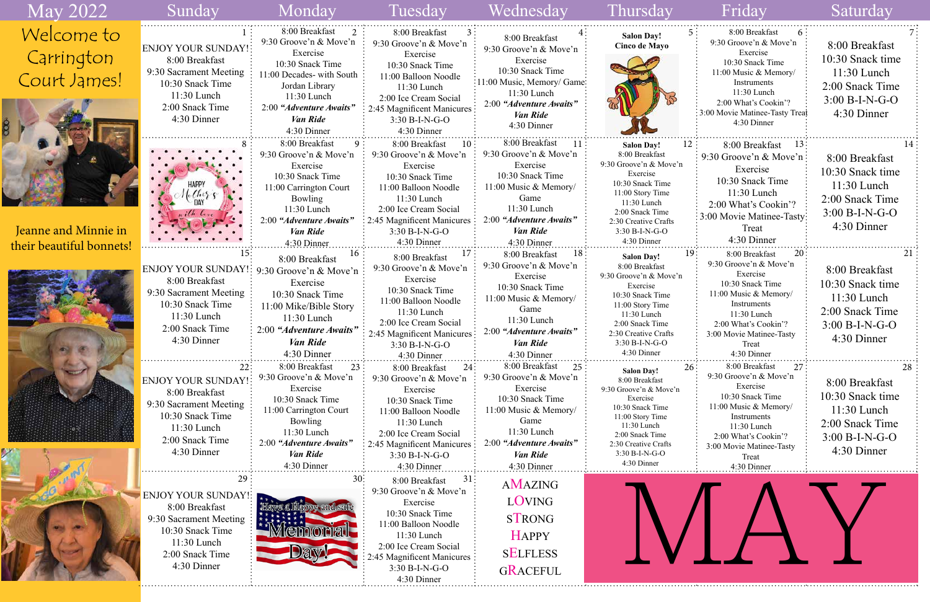| <b>May 2022</b>                                  | Sunday                                                                                                                                            | Monday                                                                                                                                                                                    | Tuesday                                                                                                                                                                                                          | Wednesday                                                                                                                                                                             | Thursday                                                                                                                                                                                                            | Friday                                                                                                                                                                                                            | Saturday                                                                                                         |
|--------------------------------------------------|---------------------------------------------------------------------------------------------------------------------------------------------------|-------------------------------------------------------------------------------------------------------------------------------------------------------------------------------------------|------------------------------------------------------------------------------------------------------------------------------------------------------------------------------------------------------------------|---------------------------------------------------------------------------------------------------------------------------------------------------------------------------------------|---------------------------------------------------------------------------------------------------------------------------------------------------------------------------------------------------------------------|-------------------------------------------------------------------------------------------------------------------------------------------------------------------------------------------------------------------|------------------------------------------------------------------------------------------------------------------|
| Welcome to<br>Carrington                         | <b>ENJOY YOUR SUNDAY!</b><br>8:00 Breakfast                                                                                                       | 8:00 Breakfast<br>2:<br>9:30 Groove'n & Move'n<br>Exercise                                                                                                                                | 8:00 Breakfast<br>9:30 Groove'n & Move'n<br>Exercise                                                                                                                                                             | 8:00 Breakfast<br>9:30 Groove'n & Move'n<br>Exercise                                                                                                                                  | <b>Salon Day!</b><br><b>Cinco de Mayo</b>                                                                                                                                                                           | 8:00 Breakfast<br>9:30 Groove'n & Move'n<br>Exercise                                                                                                                                                              | 8:00 Breakfast<br>10:30 Snack time                                                                               |
| Court James!                                     | 9:30 Sacrament Meeting<br>10:30 Snack Time<br>11:30 Lunch                                                                                         | 10:30 Snack Time<br>11:00 Decades- with South<br>Jordan Library<br>11:30 Lunch                                                                                                            | 10:30 Snack Time<br>11:00 Balloon Noodle<br>11:30 Lunch<br>2:00 Ice Cream Social                                                                                                                                 | 10:30 Snack Time<br>:11:00 Music, Memory/ Game:<br>$11:30$ Lunch                                                                                                                      |                                                                                                                                                                                                                     | 10:30 Snack Time<br>11:00 Music & Memory/<br>Instruments<br>11:30 Lunch                                                                                                                                           | $11:30$ Lunch<br>2:00 Snack Time                                                                                 |
|                                                  | 2:00 Snack Time<br>4:30 Dinner                                                                                                                    | 2:00 "Adventure Awaits"<br>Van Ride<br>4:30 Dinner                                                                                                                                        | 2:45 Magnificent Manicures<br>$3:30 B-I-N-G-O$<br>4:30 Dinner                                                                                                                                                    | 2:00 "Adventure Awaits"<br>Van Ride<br>4:30 Dinner                                                                                                                                    |                                                                                                                                                                                                                     | 2:00 What's Cookin'?<br>: 3:00 Movie Matinee-Tasty Treat<br>4:30 Dinner                                                                                                                                           | $3:00 B-I-N-G-O$<br>4:30 Dinner                                                                                  |
|                                                  | $\mu$                                                                                                                                             | 8:00 Breakfast<br>9:<br>9:30 Groove'n & Move'n<br>Exercise<br>10:30 Snack Time<br>11:00 Carrington Court<br>Bowling<br>11:30 Lunch<br>2:00 "Adventure Awaits"                             | 8:00 Breakfast<br>10:<br>9:30 Groove'n & Move'n<br>Exercise<br>10:30 Snack Time<br>11:00 Balloon Noodle<br>11:30 Lunch<br>2:00 Ice Cream Social<br>2:45 Magnificent Manicures                                    | 8:00 Breakfast<br>9:30 Groove'n & Move'n<br>Exercise<br>10:30 Snack Time<br>11:00 Music & Memory/<br>Game<br>$11:30$ Lunch<br>2:00 "Adventure Awaits"                                 | 12:<br><b>Salon Day!</b><br>8:00 Breakfast<br>9:30 Groove'n & Move'n<br>Exercise<br>10:30 Snack Time<br>11:00 Story Time<br>11:30 Lunch<br>2:00 Snack Time<br>2:30 Creative Crafts                                  | 8:00 Breakfast<br>9:30 Groove'n $\&$ Move'n<br>Exercise<br>10:30 Snack Time<br>$11:30$ Lunch<br>2:00 What's Cookin'?<br>3:00 Movie Matinee-Tasty                                                                  | 8:00 Breakfast<br>10:30 Snack time<br>$11:30$ Lunch<br>2:00 Snack Time<br>$3:00 B-I-N-G-O$                       |
| Jeanne and Minnie in<br>their beautiful bonnets! |                                                                                                                                                   | <b>Van Ride</b><br>4:30 Dinner<br>16 <sup>1</sup><br>8:00 Breakfast                                                                                                                       | $3:30 B-I-N-G-O$<br>4:30 Dinner<br>8:00 Breakfast                                                                                                                                                                | Van Ride<br>4:30 Dinner<br>8:00 Breakfast                                                                                                                                             | 3:30 B-I-N-G-O<br>4:30 Dinner<br><b>Salon Day!</b>                                                                                                                                                                  | Treat<br>4:30 Dinner<br>8:00 Breakfast<br>9:30 Groove'n & Move'n                                                                                                                                                  | 4:30 Dinner                                                                                                      |
|                                                  | <b>ENJOY YOUR SUNDAY!:</b><br>8:00 Breakfast<br>9:30 Sacrament Meeting<br>10:30 Snack Time<br>11:30 Lunch<br>2:00 Snack Time<br>4:30 Dinner       | 9:30 Groove'n & Move'n<br>Exercise<br>10:30 Snack Time<br>11:00 Mike/Bible Story<br>11:30 Lunch<br>2:00 "Adventure Awaits"<br><b>Van Ride</b><br>4:30 Dinner                              | 9:30 Groove'n & Move'n<br>Exercise<br>10:30 Snack Time<br>11:00 Balloon Noodle<br>$11:30$ Lunch<br>2:00 Ice Cream Social<br>2:45 Magnificent Manicures<br>$3:30 B-I-N-G-O$<br>4:30 Dinner                        | 9:30 Groove'n & Move'n<br>Exercise<br>10:30 Snack Time<br>11:00 Music & Memory/<br>Game<br>$11:30$ Lunch<br>2:00 "Adventure Awaits"<br><b>Van Ride</b><br>4:30 Dinner                 | 8:00 Breakfast<br>9:30 Groove'n & Move'n<br>Exercise<br>10:30 Snack Time<br>11:00 Story Time<br>11:30 Lunch<br>2:00 Snack Time<br>2:30 Creative Crafts<br>3:30 B-I-N-G-O<br>4:30 Dinner                             | Exercise<br>10:30 Snack Time<br>11:00 Music & Memory/<br>Instruments<br>11:30 Lunch<br>2:00 What's Cookin'?<br>3:00 Movie Matinee-Tasty<br>Treat<br>4:30 Dinner                                                   | 8:00 Breakfast<br>10:30 Snack time<br>$11:30$ Lunch<br>2:00 Snack Time<br>$3:00 B-I-N-G-O$<br>4:30 Dinner        |
|                                                  | 22:<br><b>ENJOY YOUR SUNDAY!</b><br>8:00 Breakfast<br>9:30 Sacrament Meeting<br>10:30 Snack Time<br>11:30 Lunch<br>2:00 Snack Time<br>4:30 Dinner | 8:00 Breakfast<br>23:<br>9:30 Groove'n & Move'n<br>Exercise<br>10:30 Snack Time<br>11:00 Carrington Court<br>Bowling<br>11:30 Lunch<br>2:00 "Adventure Awaits"<br>Van Ride<br>4:30 Dinner | 24:<br>8:00 Breakfast<br>9:30 Groove'n & Move'n<br>Exercise<br>10:30 Snack Time<br>11:00 Balloon Noodle<br>11:30 Lunch<br>2:00 Ice Cream Social<br>2:45 Magnificent Manicures<br>$3:30 B-I-N-G-O$<br>4:30 Dinner | 8:00 Breakfast<br>25:<br>9:30 Groove'n & Move'n<br>Exercise<br>10:30 Snack Time<br>11:00 Music & Memory/<br>Game<br>11:30 Lunch<br>2:00 "Adventure Awaits"<br>Van Ride<br>4:30 Dinner | 26:<br><b>Salon Day!</b><br>8:00 Breakfast<br>9:30 Groove'n & Move'n<br>Exercise<br>10:30 Snack Time<br>11:00 Story Time<br>11:30 Lunch<br>2:00 Snack Time<br>2:30 Creative Crafts<br>3:30 B-I-N-G-O<br>4:30 Dinner | 8:00 Breakfast<br>27<br>9:30 Groove'n & Move'n<br>Exercise<br>10:30 Snack Time<br>11:00 Music & Memory/<br>Instruments<br>11:30 Lunch<br>2:00 What's Cookin'?<br>3:00 Movie Matinee-Tasty<br>Treat<br>4:30 Dinner | 28.<br>8:00 Breakfast<br>10:30 Snack time<br>$11:30$ Lunch<br>2:00 Snack Time<br>$3:00 B-I-N-G-O$<br>4:30 Dinner |
|                                                  | <b>ENJOY YOUR SUNDAY!</b><br>8:00 Breakfast<br>9:30 Sacrament Meeting<br>10:30 Snack Time<br>11:30 Lunch<br>2:00 Snack Time<br>4:30 Dinner        | 30:                                                                                                                                                                                       | 31:<br>8:00 Breakfast<br>9:30 Groove'n & Move'n<br>Exercise<br>10:30 Snack Time<br>11:00 Balloon Noodle<br>11:30 Lunch<br>2:00 Ice Cream Social<br>:45 Magnificent Manicures<br>3:30 B-I-N-G-O<br>4:30 Dinner    | AMAZING<br><b>LOVING</b><br><b>STRONG</b><br><b>HAPPY</b><br><b>SELFLESS</b><br><b>GRACEFUL</b>                                                                                       |                                                                                                                                                                                                                     |                                                                                                                                                                                                                   |                                                                                                                  |

 $\frac{1}{\alpha}$ 

| 5  | 8:00 Breakfast<br>- 6                          |  |
|----|------------------------------------------------|--|
|    | 9:30 Groove'n & Move'n                         |  |
|    | Exercise                                       |  |
|    | 10:30 Snack Time                               |  |
|    | 11:00 Music & Memory/                          |  |
|    | Instruments                                    |  |
|    | 11:30 Lunch                                    |  |
|    | 2:00 What's Cookin'?                           |  |
|    | 3:00 Movie Matinee-Tasty Treat                 |  |
|    | 4:30 Dinner                                    |  |
| 12 | 13<br>8:00 Breakfast                           |  |
|    | 9:30 Groove'n & Move'n                         |  |
|    | Exercise                                       |  |
|    | 10:30 Snack Time                               |  |
|    | 11:30 Lunch                                    |  |
|    | 2:00 What's Cookin'?                           |  |
|    | 3:00 Movie Matinee-Tasty                       |  |
|    | Treat                                          |  |
|    | 4:30 Dinner                                    |  |
| 19 |                                                |  |
|    | 20<br>8:00 Breakfast<br>9:30 Groove'n & Move'n |  |
|    | Exercise                                       |  |
|    | 10:30 Snack Time                               |  |
|    | 11:00 Music & Memory/                          |  |
|    | Instruments                                    |  |
|    | 11:30 Lunch                                    |  |
|    | 2:00 What's Cookin'?                           |  |
|    | 3:00 Movie Matinee-Tasty                       |  |
|    | Treat                                          |  |
|    | 4:30 Dinner<br>.                               |  |
| 26 | 8:00 Breakfast<br>27                           |  |
|    | 9:30 Groove'n & Move'n                         |  |
|    | Exercise                                       |  |
|    | 10:30 Snack Time                               |  |
|    | 11:00 Music & Memory/                          |  |
|    | Instruments<br>11:30 Lunch                     |  |
|    | 2:00 What's Cookin'?                           |  |
|    | 3:00 Movie Matinee-Tasty                       |  |
|    | Treat                                          |  |
|    | 4:30 Dinner                                    |  |